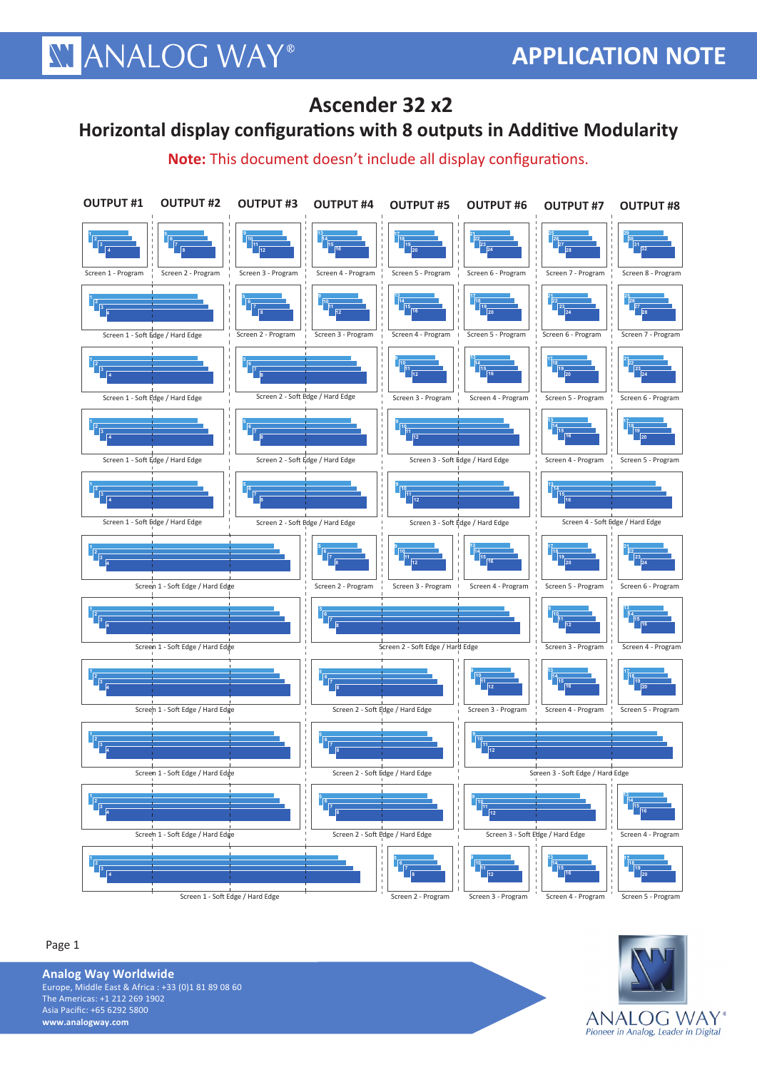## **XY ANALOG WAY®**

### **Ascender 32 x2**

#### **Horizontal display configurations with 8 outputs in Additive Modularity**

**Note:** This document doesn't include all display configurations.





**Analog Way Worldwide** Europe, Middle East & Africa : +33 (0)1 81 89 08 60 **1 2** The Americas: +1 212 269 1902 **3 4** Asia Pacific: +65 6292 5800 **www.analogway.com**

Page 1